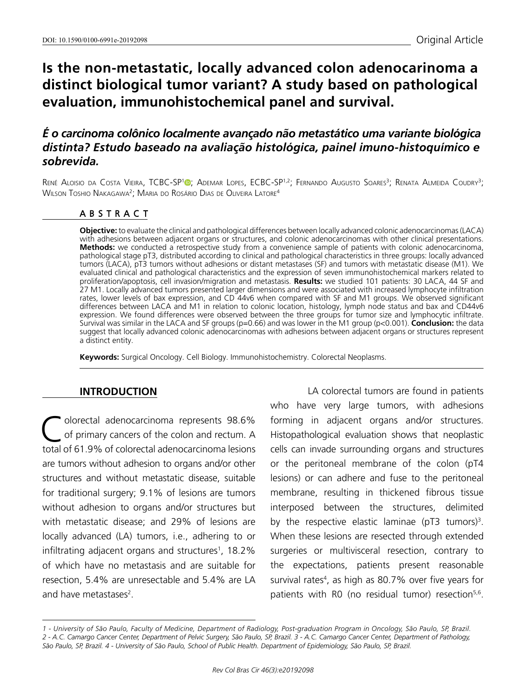# **Is the non-metastatic, locally advanced colon adenocarinoma a distinct biological tumor variant? A study based on pathological evaluation, immunohistochemical panel and survival.**

# *É o carcinoma colônico localmente avançado não metastático uma variante biológica distinta? Estudo baseado na avaliação histológica, painel imuno-histoquímico e sobrevida.*

René Aloisio da Costa Vieira, TCBC-SP<sup>1</sup>®[;](https://orcid.org/0000-0003-2014-9016) Ademar Lopes, ECBC-SP<sup>1,2</sup>; Fernando Augusto Soares<sup>3</sup>; Renata Almeida Coudry<sup>3</sup>; Wilson Toshio Nakagawa<sup>2</sup>; Maria do Rosário Dias de Oliveira Latore<sup>4</sup>

## ABSTRACT

**Objective:** to evaluate the clinical and pathological differences between locally advanced colonic adenocarcinomas (LACA) with adhesions between adjacent organs or structures, and colonic adenocarcinomas with other clinical presentations. **Methods:** we conducted a retrospective study from a convenience sample of patients with colonic adenocarcinoma, pathological stage pT3, distributed according to clinical and pathological characteristics in three groups: locally advanced tumors (LACA), pT3 tumors without adhesions or distant metastases (SF) and tumors with metastatic disease (M1). We evaluated clinical and pathological characteristics and the expression of seven immunohistochemical markers related to proliferation/apoptosis, cell invasion/migration and metastasis. **Results:** we studied 101 patients: 30 LACA, 44 SF and 27 M1. Locally advanced tumors presented larger dimensions and were associated with increased lymphocyte infiltration rates, lower levels of bax expression, and CD 44v6 when compared with SF and M1 groups. We observed significant differences between LACA and M1 in relation to colonic location, histology, lymph node status and bax and CD44v6 expression. We found differences were observed between the three groups for tumor size and lymphocytic infiltrate. Survival was similar in the LACA and SF groups (p=0.66) and was lower in the M1 group (p<0.001). **Conclusion:** the data suggest that locally advanced colonic adenocarcinomas with adhesions between adjacent organs or structures represent a distinct entity.

**Keywords:** Surgical Oncology. Cell Biology. Immunohistochemistry. Colorectal Neoplasms.

## **INTRODUCTION**

olorectal adenocarcinoma represents 98.6% of primary cancers of the colon and rectum. A total of 61.9% of colorectal adenocarcinoma lesions are tumors without adhesion to organs and/or other structures and without metastatic disease, suitable for traditional surgery; 9.1% of lesions are tumors without adhesion to organs and/or structures but with metastatic disease; and 29% of lesions are locally advanced (LA) tumors, i.e., adhering to or infiltrating adjacent organs and structures<sup>1</sup>, 18.2% of which have no metastasis and are suitable for resection, 5.4% are unresectable and 5.4% are LA and have metastases<sup>2</sup>.

LA colorectal tumors are found in patients who have very large tumors, with adhesions forming in adjacent organs and/or structures. Histopathological evaluation shows that neoplastic cells can invade surrounding organs and structures or the peritoneal membrane of the colon (pT4 lesions) or can adhere and fuse to the peritoneal membrane, resulting in thickened fibrous tissue interposed between the structures, delimited by the respective elastic laminae ( $pT3$  tumors)<sup>3</sup>. When these lesions are resected through extended surgeries or multivisceral resection, contrary to the expectations, patients present reasonable survival rates<sup>4</sup>, as high as 80.7% over five years for patients with R0 (no residual tumor) resection<sup>5,6</sup>.

*<sup>1 -</sup> University of São Paulo, Faculty of Medicine, Department of Radiology, Post-graduation Program in Oncology, São Paulo, SP, Brazil. 2 - A.C. Camargo Cancer Center, Department of Pelvic Surgery, São Paulo, SP, Brazil. 3 - A.C. Camargo Cancer Center, Department of Pathology, São Paulo, SP, Brazil. 4 - University of São Paulo, School of Public Health. Department of Epidemiology, São Paulo, SP, Brazil.*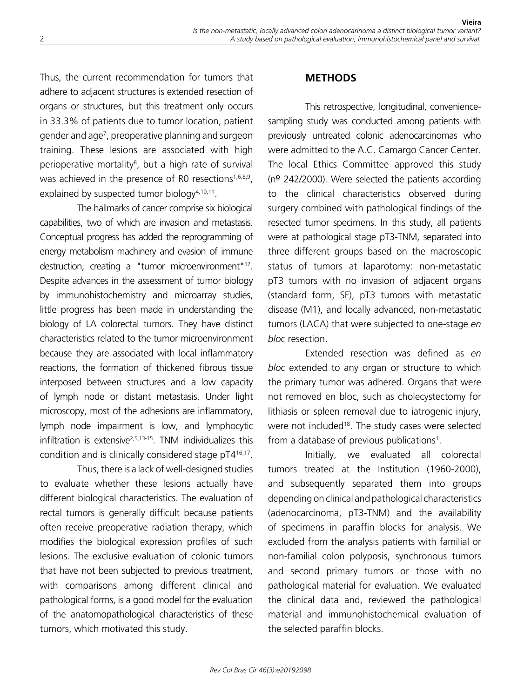Thus, the current recommendation for tumors that adhere to adjacent structures is extended resection of organs or structures, but this treatment only occurs in 33.3% of patients due to tumor location, patient gender and age7 , preoperative planning and surgeon training. These lesions are associated with high perioperative mortality<sup>8</sup>, but a high rate of survival was achieved in the presence of R0 resections<sup>1,6,8,9</sup>, explained by suspected tumor biology $4,10,11$ .

The hallmarks of cancer comprise six biological capabilities, two of which are invasion and metastasis. Conceptual progress has added the reprogramming of energy metabolism machinery and evasion of immune destruction, creating a "tumor microenvironment"<sup>12</sup>. Despite advances in the assessment of tumor biology by immunohistochemistry and microarray studies, little progress has been made in understanding the biology of LA colorectal tumors. They have distinct characteristics related to the tumor microenvironment because they are associated with local inflammatory reactions, the formation of thickened fibrous tissue interposed between structures and a low capacity of lymph node or distant metastasis. Under light microscopy, most of the adhesions are inflammatory, lymph node impairment is low, and lymphocytic infiltration is extensive2,5,13-15. TNM individualizes this condition and is clinically considered stage pT416,17.

Thus, there is a lack of well-designed studies to evaluate whether these lesions actually have different biological characteristics. The evaluation of rectal tumors is generally difficult because patients often receive preoperative radiation therapy, which modifies the biological expression profiles of such lesions. The exclusive evaluation of colonic tumors that have not been subjected to previous treatment, with comparisons among different clinical and pathological forms, is a good model for the evaluation of the anatomopathological characteristics of these tumors, which motivated this study.

#### **METHODS**

This retrospective, longitudinal, conveniencesampling study was conducted among patients with previously untreated colonic adenocarcinomas who were admitted to the A.C. Camargo Cancer Center. The local Ethics Committee approved this study (nº 242/2000). Were selected the patients according to the clinical characteristics observed during surgery combined with pathological findings of the resected tumor specimens. In this study, all patients were at pathological stage pT3-TNM, separated into three different groups based on the macroscopic status of tumors at laparotomy: non-metastatic pT3 tumors with no invasion of adjacent organs (standard form, SF), pT3 tumors with metastatic disease (M1), and locally advanced, non-metastatic tumors (LACA) that were subjected to one-stage *en bloc* resection.

Extended resection was defined as *en bloc* extended to any organ or structure to which the primary tumor was adhered. Organs that were not removed en bloc, such as cholecystectomy for lithiasis or spleen removal due to iatrogenic injury, were not included<sup>18</sup>. The study cases were selected from a database of previous publications<sup>1</sup>.

Initially, we evaluated all colorectal tumors treated at the Institution (1960-2000), and subsequently separated them into groups depending on clinical and pathological characteristics (adenocarcinoma, pT3-TNM) and the availability of specimens in paraffin blocks for analysis. We excluded from the analysis patients with familial or non-familial colon polyposis, synchronous tumors and second primary tumors or those with no pathological material for evaluation. We evaluated the clinical data and, reviewed the pathological material and immunohistochemical evaluation of the selected paraffin blocks.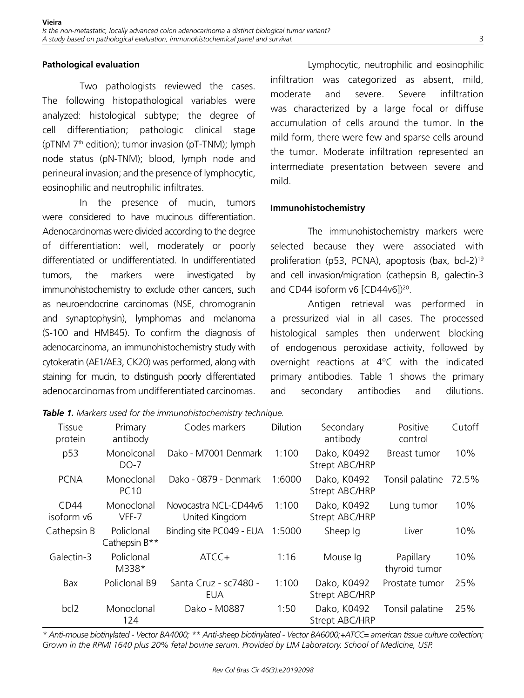#### **Pathological evaluation**

Two pathologists reviewed the cases. The following histopathological variables were analyzed: histological subtype; the degree of cell differentiation; pathologic clinical stage (pTNM 7th edition); tumor invasion (pT-TNM); lymph node status (pN-TNM); blood, lymph node and perineural invasion; and the presence of lymphocytic, eosinophilic and neutrophilic infiltrates.

In the presence of mucin, tumors were considered to have mucinous differentiation. Adenocarcinomas were divided according to the degree of differentiation: well, moderately or poorly differentiated or undifferentiated. In undifferentiated tumors, the markers were investigated by immunohistochemistry to exclude other cancers, such as neuroendocrine carcinomas (NSE, chromogranin and synaptophysin), lymphomas and melanoma (S-100 and HMB45). To confirm the diagnosis of adenocarcinoma, an immunohistochemistry study with cytokeratin (AE1/AE3, CK20) was performed, along with staining for mucin, to distinguish poorly differentiated adenocarcinomas from undifferentiated carcinomas.

Lymphocytic, neutrophilic and eosinophilic infiltration was categorized as absent, mild, moderate and severe. Severe infiltration was characterized by a large focal or diffuse accumulation of cells around the tumor. In the mild form, there were few and sparse cells around the tumor. Moderate infiltration represented an intermediate presentation between severe and mild.

#### **Immunohistochemistry**

The immunohistochemistry markers were selected because they were associated with proliferation (p53, PCNA), apoptosis (bax, bcl-2)19 and cell invasion/migration (cathepsin B, galectin-3 and CD44 isoform v6 [CD44v6])<sup>20</sup>.

Antigen retrieval was performed in a pressurized vial in all cases. The processed histological samples then underwent blocking of endogenous peroxidase activity, followed by overnight reactions at 4°C with the indicated primary antibodies. Table 1 shows the primary and secondary antibodies and dilutions.

*Table 1. Markers used for the immunohistochemistry technique.*

| Tissue             | Primary                     | Codes markers                           | Dilution | Secondary                     | Positive                   | Cutoff |
|--------------------|-----------------------------|-----------------------------------------|----------|-------------------------------|----------------------------|--------|
| protein            | antibody                    |                                         |          | antibody                      | control                    |        |
| p53                | Monolconal<br>DO-7          | Dako - M7001 Denmark                    | 1:100    | Dako, K0492<br>Strept ABC/HRP | Breast tumor               | 10%    |
| <b>PCNA</b>        | Monoclonal<br><b>PC10</b>   | Dako - 0879 - Denmark                   | 1:6000   | Dako, K0492<br>Strept ABC/HRP | Tonsil palatine            | 72.5%  |
| CD44<br>isoform v6 | Monoclonal<br>VFF-7         | Novocastra NCL-CD44v6<br>United Kingdom | 1:100    | Dako, K0492<br>Strept ABC/HRP | Lung tumor                 | 10%    |
| Cathepsin B        | Policlonal<br>Cathepsin B** | Binding site PC049 - EUA                | 1:5000   | Sheep Iq                      | Liver                      | 10%    |
| Galectin-3         | Policlonal<br>M338*         | ATCC+                                   | 1:16     | Mouse Ig                      | Papillary<br>thyroid tumor | 10%    |
| Bax                | Policlonal B9               | Santa Cruz - sc7480 -<br>EUA            | 1:100    | Dako, K0492<br>Strept ABC/HRP | Prostate tumor             | 25%    |
| bcl <sub>2</sub>   | Monoclonal<br>124           | Dako - M0887                            | 1:50     | Dako, K0492<br>Strept ABC/HRP | Tonsil palatine            | 25%    |

*\* Anti-mouse biotinylated - Vector BA4000; \*\* Anti-sheep biotinylated - Vector BA6000;+ATCC= american tissue culture collection; Grown in the RPMI 1640 plus 20% fetal bovine serum. Provided by LIM Laboratory. School of Medicine, USP.*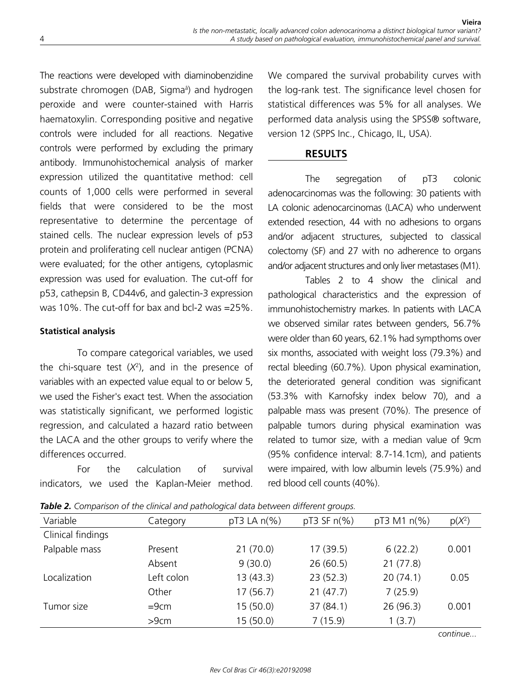The reactions were developed with diaminobenzidine substrate chromogen (DAB, Sigmaâ ) and hydrogen peroxide and were counter-stained with Harris haematoxylin. Corresponding positive and negative controls were included for all reactions. Negative controls were performed by excluding the primary antibody. Immunohistochemical analysis of marker expression utilized the quantitative method: cell counts of 1,000 cells were performed in several fields that were considered to be the most representative to determine the percentage of stained cells. The nuclear expression levels of p53 protein and proliferating cell nuclear antigen (PCNA) were evaluated; for the other antigens, cytoplasmic expression was used for evaluation. The cut-off for p53, cathepsin B, CD44v6, and galectin-3 expression was 10%. The cut-off for bax and bcl-2 was =25%.

## **Statistical analysis**

To compare categorical variables, we used the chi-square test  $(X^2)$ , and in the presence of variables with an expected value equal to or below 5, we used the Fisher's exact test. When the association was statistically significant, we performed logistic regression, and calculated a hazard ratio between the LACA and the other groups to verify where the differences occurred.

For the calculation of survival indicators, we used the Kaplan-Meier method.

We compared the survival probability curves with the log-rank test. The significance level chosen for statistical differences was 5% for all analyses. We performed data analysis using the SPSS® software, version 12 (SPPS Inc., Chicago, IL, USA).

## **RESULTS**

The segregation of pT3 colonic adenocarcinomas was the following: 30 patients with LA colonic adenocarcinomas (LACA) who underwent extended resection, 44 with no adhesions to organs and/or adjacent structures, subjected to classical colectomy (SF) and 27 with no adherence to organs and/or adjacent structures and only liver metastases (M1).

Tables 2 to 4 show the clinical and pathological characteristics and the expression of immunohistochemistry markes. In patients with LACA we observed similar rates between genders, 56.7% were older than 60 years, 62.1% had sympthoms over six months, associated with weight loss (79.3%) and rectal bleeding (60.7%). Upon physical examination, the deteriorated general condition was significant (53.3% with Karnofsky index below 70), and a palpable mass was present (70%). The presence of palpable tumors during physical examination was related to tumor size, with a median value of 9cm (95% confidence interval: 8.7-14.1cm), and patients were impaired, with low albumin levels (75.9%) and red blood cell counts (40%).

| Variable          | Category   | $pT3$ LA $n(\%)$ | $pT3$ SF $n(\%)$ | pT3 M1 n(%) | $p(X^2)$ |
|-------------------|------------|------------------|------------------|-------------|----------|
| Clinical findings |            |                  |                  |             |          |
| Palpable mass     | Present    | 21(70.0)         | 17(39.5)         | 6(22.2)     | 0.001    |
|                   | Absent     | 9(30.0)          | 26(60.5)         | 21(77.8)    |          |
| Localization      | Left colon | 13(43.3)         | 23(52.3)         | 20(74.1)    | 0.05     |
|                   | Other      | 17(56.7)         | 21(47.7)         | 7(25.9)     |          |
| Tumor size        | $=9cm$     | 15(50.0)         | 37 (84.1)        | 26(96.3)    | 0.001    |
|                   | >9cm       | 15(50.0)         | 7(15.9)          | 1(3.7)      |          |

*Table 2. Comparison of the clinical and pathological data between different groups.*

*continue...*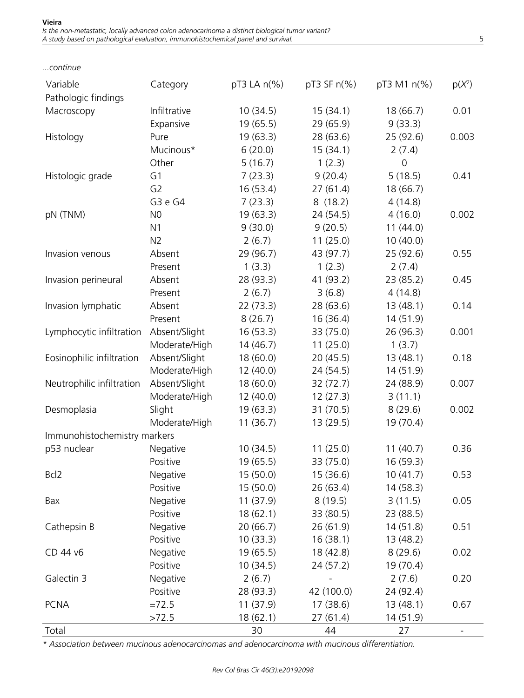| Variable                     | Category       | pT3 LA n(%) | pT3 SF n(%) | pT3 M1 n(%)         | $p(X^2)$                 |  |
|------------------------------|----------------|-------------|-------------|---------------------|--------------------------|--|
| Pathologic findings          |                |             |             |                     |                          |  |
| Macroscopy                   | Infiltrative   | 10(34.5)    | 15(34.1)    | 18(66.7)            | 0.01                     |  |
|                              | Expansive      | 19(65.5)    | 29 (65.9)   | 9(33.3)             |                          |  |
| Histology                    | Pure           | 19(63.3)    | 28 (63.6)   | 25 (92.6)           | 0.003                    |  |
|                              | Mucinous*      | 6(20.0)     | 15(34.1)    | 2(7.4)              |                          |  |
|                              | Other          | 5(16.7)     | 1(2.3)      | $\mathsf{O}\xspace$ |                          |  |
| Histologic grade             | G1             | 7(23.3)     | 9(20.4)     | 5(18.5)             | 0.41                     |  |
|                              | G <sub>2</sub> | 16(53.4)    | 27(61.4)    | 18 (66.7)           |                          |  |
|                              | G3 e G4        | 7(23.3)     | 8(18.2)     | 4(14.8)             |                          |  |
| pN (TNM)                     | N <sub>0</sub> | 19(63.3)    | 24(54.5)    | 4(16.0)             | 0.002                    |  |
|                              | N <sub>1</sub> | 9(30.0)     | 9(20.5)     | 11(44.0)            |                          |  |
|                              | N <sub>2</sub> | 2(6.7)      | 11(25.0)    | 10(40.0)            |                          |  |
| Invasion venous              | Absent         | 29 (96.7)   | 43 (97.7)   | 25 (92.6)           | 0.55                     |  |
|                              | Present        | 1(3.3)      | 1(2.3)      | 2(7.4)              |                          |  |
| Invasion perineural          | Absent         | 28 (93.3)   | 41 (93.2)   | 23 (85.2)           | 0.45                     |  |
|                              | Present        | 2(6.7)      | 3(6.8)      | 4(14.8)             |                          |  |
| Invasion lymphatic           | Absent         | 22(73.3)    | 28(63.6)    | 13(48.1)            | 0.14                     |  |
|                              | Present        | 8(26.7)     | 16(36.4)    | 14(51.9)            |                          |  |
| Lymphocytic infiltration     | Absent/Slight  | 16(53.3)    | 33 (75.0)   | 26 (96.3)           | 0.001                    |  |
|                              | Moderate/High  | 14(46.7)    | 11(25.0)    | 1(3.7)              |                          |  |
| Eosinophilic infiltration    | Absent/Slight  | 18(60.0)    | 20(45.5)    | 13(48.1)            | 0.18                     |  |
|                              | Moderate/High  | 12(40.0)    | 24(54.5)    | 14(51.9)            |                          |  |
| Neutrophilic infiltration    | Absent/Slight  | 18(60.0)    | 32(72.7)    | 24 (88.9)           | 0.007                    |  |
|                              | Moderate/High  | 12(40.0)    | 12(27.3)    | 3(11.1)             |                          |  |
| Desmoplasia                  | Slight         | 19(63.3)    | 31(70.5)    | 8(29.6)             | 0.002                    |  |
|                              | Moderate/High  | 11(36.7)    | 13(29.5)    | 19 (70.4)           |                          |  |
| Immunohistochemistry markers |                |             |             |                     |                          |  |
| p53 nuclear                  | Negative       | 10(34.5)    | 11(25.0)    | 11(40.7)            | 0.36                     |  |
|                              | Positive       | 19(65.5)    | 33 (75.0)   | 16(59.3)            |                          |  |
| Bcl <sub>2</sub>             | Negative       | 15(50.0)    | 15 (36.6)   | 10(41.7)            | 0.53                     |  |
|                              | Positive       | 15(50.0)    | 26(63.4)    | 14(58.3)            |                          |  |
| Bax                          | Negative       | 11(37.9)    | 8(19.5)     | 3(11.5)             | 0.05                     |  |
|                              | Positive       | 18(62.1)    | 33 (80.5)   | 23 (88.5)           |                          |  |
| Cathepsin B                  | Negative       | 20(66.7)    | 26(61.9)    | 14(51.8)            | 0.51                     |  |
|                              | Positive       | 10(33.3)    | 16(38.1)    | 13(48.2)            |                          |  |
| CD 44 v6                     | Negative       | 19(65.5)    | 18(42.8)    | 8(29.6)             | 0.02                     |  |
|                              | Positive       | 10(34.5)    | 24(57.2)    | 19 (70.4)           |                          |  |
| Galectin 3                   | Negative       | 2(6.7)      |             | 2(7.6)              | 0.20                     |  |
|                              | Positive       | 28 (93.3)   | 42 (100.0)  | 24 (92.4)           |                          |  |
| <b>PCNA</b>                  | $=72.5$        | 11(37.9)    | 17(38.6)    | 13(48.1)            | 0.67                     |  |
|                              | >72.5          | 18(62.1)    | 27(61.4)    | 14 (51.9)           |                          |  |
| Total                        |                | 30          | 44          | 27                  | $\overline{\phantom{a}}$ |  |

**Vieira** *Is the non-metastatic, locally advanced colon adenocarinoma a distinct biological tumor variant? A study based on pathological evaluation, immunohistochemical panel and survival.* 5

*...continue*

*\* Association between mucinous adenocarcinomas and adenocarcinoma with mucinous differentiation.*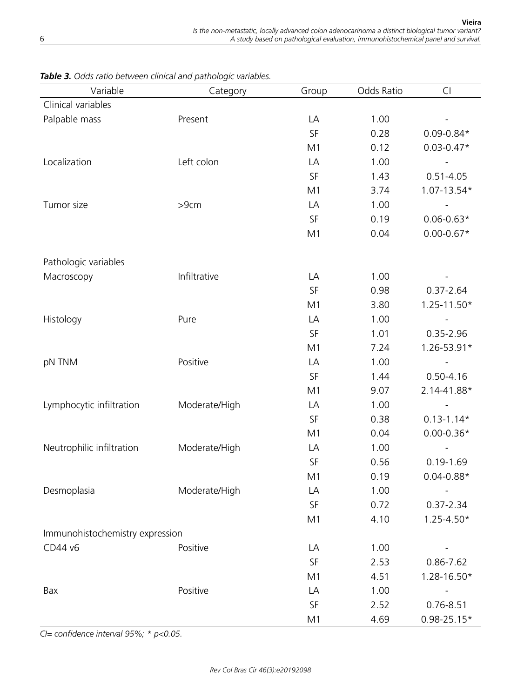| Variable                        | Category      | Group | Odds Ratio | Cl              |  |  |
|---------------------------------|---------------|-------|------------|-----------------|--|--|
| Clinical variables              |               |       |            |                 |  |  |
| Palpable mass                   | Present       | LA    | 1.00       |                 |  |  |
|                                 |               | SF    | 0.28       | $0.09 - 0.84*$  |  |  |
|                                 |               | M1    | 0.12       | $0.03 - 0.47*$  |  |  |
| Localization                    | Left colon    | LA    | 1.00       |                 |  |  |
|                                 |               | SF    | 1.43       | $0.51 - 4.05$   |  |  |
|                                 |               | M1    | 3.74       | 1.07-13.54*     |  |  |
| Tumor size                      | >9cm          | LA    | 1.00       |                 |  |  |
|                                 |               | SF    | 0.19       | $0.06 - 0.63*$  |  |  |
|                                 |               | M1    | 0.04       | $0.00 - 0.67*$  |  |  |
| Pathologic variables            |               |       |            |                 |  |  |
| Macroscopy                      | Infiltrative  | LA    | 1.00       |                 |  |  |
|                                 |               | SF    | 0.98       | $0.37 - 2.64$   |  |  |
|                                 |               | M1    | 3.80       | $1.25 - 11.50*$ |  |  |
| Histology                       | Pure          | LA    | 1.00       |                 |  |  |
|                                 |               | SF    | 1.01       | $0.35 - 2.96$   |  |  |
|                                 |               | M1    | 7.24       | 1.26-53.91*     |  |  |
| pN TNM                          | Positive      | LA    | 1.00       |                 |  |  |
|                                 |               | SF    | 1.44       | $0.50 - 4.16$   |  |  |
|                                 |               | M1    | 9.07       | 2.14-41.88*     |  |  |
| Lymphocytic infiltration        | Moderate/High | LA    | 1.00       |                 |  |  |
|                                 |               | SF    | 0.38       | $0.13 - 1.14*$  |  |  |
|                                 |               | M1    | 0.04       | $0.00 - 0.36*$  |  |  |
| Neutrophilic infiltration       | Moderate/High | LA    | 1.00       |                 |  |  |
|                                 |               | SF    | 0.56       | $0.19 - 1.69$   |  |  |
|                                 |               | M1    | 0.19       | $0.04 - 0.88*$  |  |  |
| Desmoplasia                     | Moderate/High | LA    | 1.00       |                 |  |  |
|                                 |               | SF    | 0.72       | 0.37-2.34       |  |  |
|                                 |               | M1    | 4.10       | $1.25 - 4.50*$  |  |  |
| Immunohistochemistry expression |               |       |            |                 |  |  |
| CD44 v6                         | Positive      | LA    | 1.00       |                 |  |  |
|                                 |               | SF    | 2.53       | 0.86-7.62       |  |  |
|                                 |               | M1    | 4.51       | 1.28-16.50*     |  |  |
| Bax                             | Positive      | LA    | 1.00       |                 |  |  |
|                                 |               | SF    | 2.52       | $0.76 - 8.51$   |  |  |
|                                 |               | M1    | 4.69       | $0.98 - 25.15*$ |  |  |

*Table 3. Odds ratio between clinical and pathologic variables.*

*CI= confidence interval 95%; \* p<0.05.*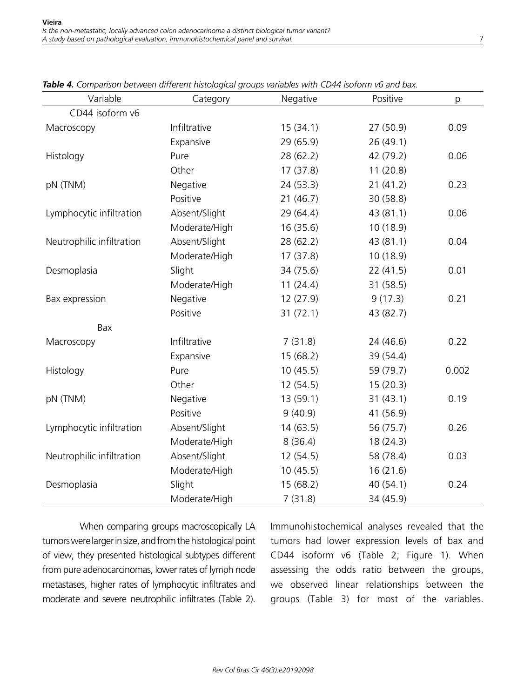| Variable                  | Category      | Negative  | Positive  | p     |
|---------------------------|---------------|-----------|-----------|-------|
| CD44 isoform v6           |               |           |           |       |
| Macroscopy                | Infiltrative  | 15(34.1)  | 27(50.9)  | 0.09  |
|                           | Expansive     | 29(65.9)  | 26(49.1)  |       |
| Histology                 | Pure          | 28(62.2)  | 42 (79.2) | 0.06  |
|                           | Other         | 17(37.8)  | 11(20.8)  |       |
| pN (TNM)                  | Negative      | 24(53.3)  | 21(41.2)  | 0.23  |
|                           | Positive      | 21(46.7)  | 30(58.8)  |       |
| Lymphocytic infiltration  | Absent/Slight | 29 (64.4) | 43(81.1)  | 0.06  |
|                           | Moderate/High | 16(35.6)  | 10(18.9)  |       |
| Neutrophilic infiltration | Absent/Slight | 28(62.2)  | 43(81.1)  | 0.04  |
|                           | Moderate/High | 17(37.8)  | 10(18.9)  |       |
| Desmoplasia               | Slight        | 34 (75.6) | 22(41.5)  | 0.01  |
|                           | Moderate/High | 11(24.4)  | 31(58.5)  |       |
| Bax expression            | Negative      | 12(27.9)  | 9(17.3)   | 0.21  |
|                           | Positive      | 31(72.1)  | 43 (82.7) |       |
| Bax                       |               |           |           |       |
| Macroscopy                | Infiltrative  | 7(31.8)   | 24 (46.6) | 0.22  |
|                           | Expansive     | 15(68.2)  | 39 (54.4) |       |
| Histology                 | Pure          | 10(45.5)  | 59 (79.7) | 0.002 |
|                           | Other         | 12(54.5)  | 15(20.3)  |       |
| pN (TNM)                  | Negative      | 13(59.1)  | 31(43.1)  | 0.19  |
|                           | Positive      | 9(40.9)   | 41 (56.9) |       |
| Lymphocytic infiltration  | Absent/Slight | 14(63.5)  | 56 (75.7) | 0.26  |
|                           | Moderate/High | 8(36.4)   | 18(24.3)  |       |
| Neutrophilic infiltration | Absent/Slight | 12(54.5)  | 58 (78.4) | 0.03  |
|                           | Moderate/High | 10(45.5)  | 16(21.6)  |       |
| Desmoplasia               | Slight        | 15(68.2)  | 40(54.1)  | 0.24  |
|                           | Moderate/High | 7(31.8)   | 34 (45.9) |       |

*Table 4. Comparison between different histological groups variables with CD44 isoform v6 and bax.*

When comparing groups macroscopically LA tumors were larger in size, and from the histological point of view, they presented histological subtypes different from pure adenocarcinomas, lower rates of lymph node metastases, higher rates of lymphocytic infiltrates and moderate and severe neutrophilic infiltrates (Table 2).

Immunohistochemical analyses revealed that the tumors had lower expression levels of bax and CD44 isoform v6 (Table 2; Figure 1). When assessing the odds ratio between the groups, we observed linear relationships between the groups (Table 3) for most of the variables.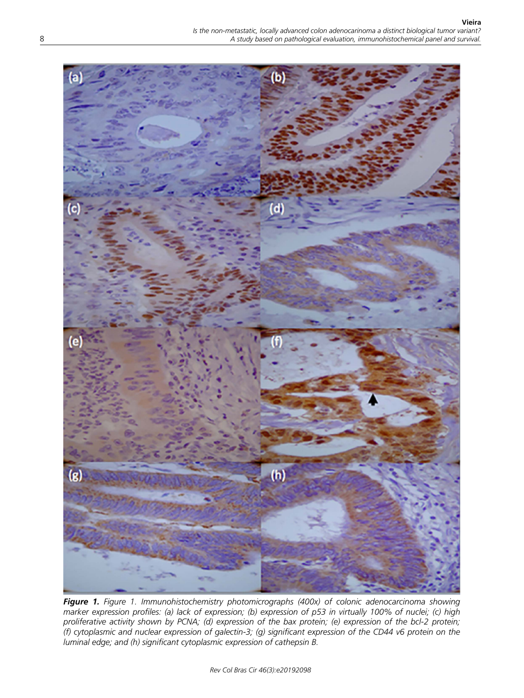

*Figure 1. Figure 1. Immunohistochemistry photomicrographs (400x) of colonic adenocarcinoma showing marker expression profiles: (a) lack of expression; (b) expression of p53 in virtually 100% of nuclei; (c) high proliferative activity shown by PCNA; (d) expression of the bax protein; (e) expression of the bcl-2 protein; (f) cytoplasmic and nuclear expression of galectin-3; (g) significant expression of the CD44 v6 protein on the luminal edge; and (h) significant cytoplasmic expression of cathepsin B.*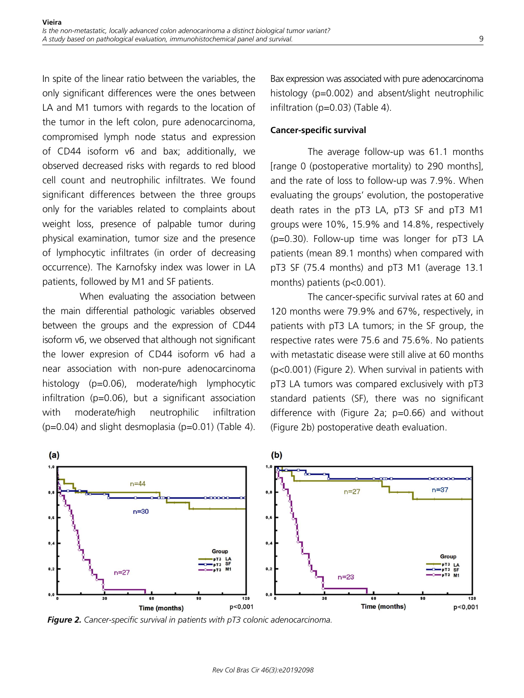In spite of the linear ratio between the variables, the only significant differences were the ones between LA and M1 tumors with regards to the location of the tumor in the left colon, pure adenocarcinoma, compromised lymph node status and expression of CD44 isoform v6 and bax; additionally, we observed decreased risks with regards to red blood cell count and neutrophilic infiltrates. We found significant differences between the three groups only for the variables related to complaints about weight loss, presence of palpable tumor during physical examination, tumor size and the presence of lymphocytic infiltrates (in order of decreasing occurrence). The Karnofsky index was lower in LA patients, followed by M1 and SF patients.

When evaluating the association between the main differential pathologic variables observed between the groups and the expression of CD44 isoform v6, we observed that although not significant the lower expresion of CD44 isoform v6 had a near association with non-pure adenocarcinoma histology (p=0.06), moderate/high lymphocytic infiltration (p=0.06), but a significant association with moderate/high neutrophilic infiltration  $(p=0.04)$  and slight desmoplasia  $(p=0.01)$  (Table 4).

Bax expression was associated with pure adenocarcinoma histology (p=0.002) and absent/slight neutrophilic infiltration (p=0.03) (Table 4).

#### **Cancer-specific survival**

The average follow-up was 61.1 months [range 0 (postoperative mortality) to 290 months], and the rate of loss to follow-up was 7.9%. When evaluating the groups' evolution, the postoperative death rates in the pT3 LA, pT3 SF and pT3 M1 groups were 10%, 15.9% and 14.8%, respectively (p=0.30). Follow-up time was longer for pT3 LA patients (mean 89.1 months) when compared with pT3 SF (75.4 months) and pT3 M1 (average 13.1 months) patients (p<0.001).

The cancer-specific survival rates at 60 and 120 months were 79.9% and 67%, respectively, in patients with pT3 LA tumors; in the SF group, the respective rates were 75.6 and 75.6%. No patients with metastatic disease were still alive at 60 months (p<0.001) (Figure 2). When survival in patients with pT3 LA tumors was compared exclusively with pT3 standard patients (SF), there was no significant difference with (Figure 2a; p=0.66) and without (Figure 2b) postoperative death evaluation.



*Figure 2. Cancer-specific survival in patients with pT3 colonic adenocarcinoma.*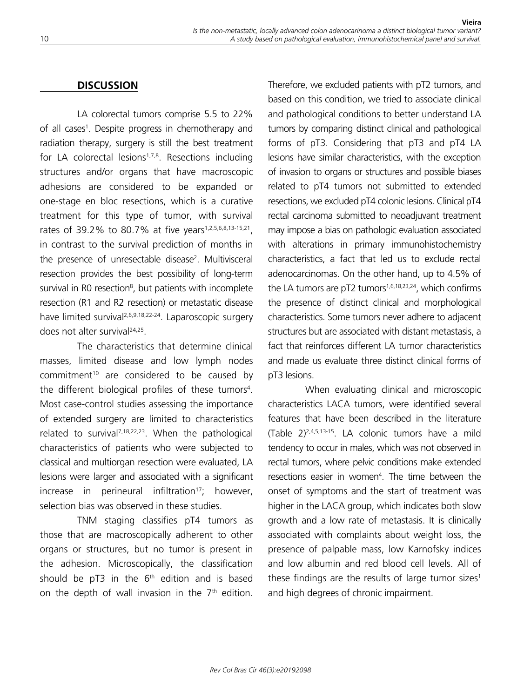# **DISCUSSION**

LA colorectal tumors comprise 5.5 to 22% of all cases<sup>1</sup>. Despite progress in chemotherapy and radiation therapy, surgery is still the best treatment for LA colorectal lesions<sup>1,7,8</sup>. Resections including structures and/or organs that have macroscopic adhesions are considered to be expanded or one-stage en bloc resections, which is a curative treatment for this type of tumor, with survival rates of 39.2% to 80.7% at five years<sup>1,2,5,6,8,13-15,21</sup>, in contrast to the survival prediction of months in the presence of unresectable disease<sup>2</sup>. Multivisceral resection provides the best possibility of long-term survival in R0 resection<sup>8</sup>, but patients with incomplete resection (R1 and R2 resection) or metastatic disease have limited survival<sup>2,6,9,18,22-24</sup>. Laparoscopic surgery does not alter survival<sup>24,25</sup>.

The characteristics that determine clinical masses, limited disease and low lymph nodes commitment<sup>10</sup> are considered to be caused by the different biological profiles of these tumors<sup>4</sup>. Most case-control studies assessing the importance of extended surgery are limited to characteristics related to survival<sup>7,18,22,23</sup>. When the pathological characteristics of patients who were subjected to classical and multiorgan resection were evaluated, LA lesions were larger and associated with a significant  $increases$  in perineural infiltration<sup>17</sup>; however, selection bias was observed in these studies.

TNM staging classifies pT4 tumors as those that are macroscopically adherent to other organs or structures, but no tumor is present in the adhesion. Microscopically, the classification should be  $pT3$  in the  $6<sup>th</sup>$  edition and is based on the depth of wall invasion in the  $7<sup>th</sup>$  edition. Therefore, we excluded patients with pT2 tumors, and based on this condition, we tried to associate clinical and pathological conditions to better understand LA tumors by comparing distinct clinical and pathological forms of pT3. Considering that pT3 and pT4 LA lesions have similar characteristics, with the exception of invasion to organs or structures and possible biases related to pT4 tumors not submitted to extended resections, we excluded pT4 colonic lesions. Clinical pT4 rectal carcinoma submitted to neoadjuvant treatment may impose a bias on pathologic evaluation associated with alterations in primary immunohistochemistry characteristics, a fact that led us to exclude rectal adenocarcinomas. On the other hand, up to 4.5% of the LA tumors are  $pT2$  tumors<sup>1,6,18,23,24</sup>, which confirms the presence of distinct clinical and morphological characteristics. Some tumors never adhere to adjacent structures but are associated with distant metastasis, a fact that reinforces different LA tumor characteristics and made us evaluate three distinct clinical forms of pT3 lesions.

When evaluating clinical and microscopic characteristics LACA tumors, were identified several features that have been described in the literature (Table 2)2,4,5,13-15. LA colonic tumors have a mild tendency to occur in males, which was not observed in rectal tumors, where pelvic conditions make extended resections easier in women<sup>4</sup>. The time between the onset of symptoms and the start of treatment was higher in the LACA group, which indicates both slow growth and a low rate of metastasis. It is clinically associated with complaints about weight loss, the presence of palpable mass, low Karnofsky indices and low albumin and red blood cell levels. All of these findings are the results of large tumor sizes<sup>1</sup> and high degrees of chronic impairment.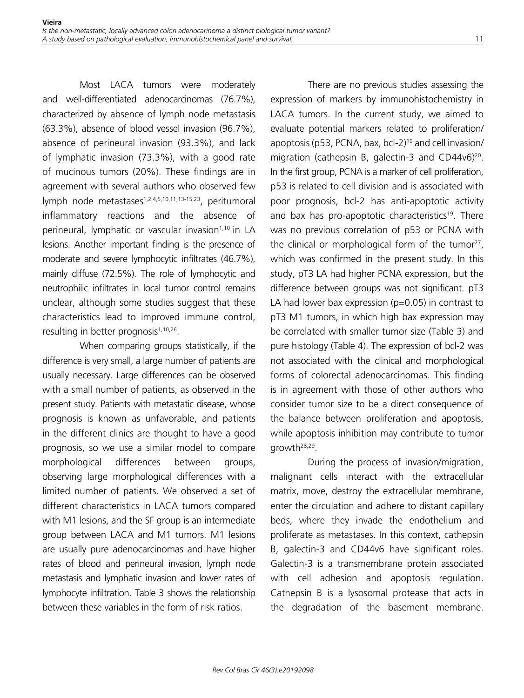Most LACA tumors were moderately and well-differentiated adenocarcinomas (76.7%), characterized by absence of lymph node metastasis (63.3%), absence of blood vessel invasion (96.7%), absence of perineural invasion (93.3%), and lack of lymphatic invasion (73.3%), with a good rate of mucinous tumors (20%). These findings are in agreement with several authors who observed few lymph node metastases<sup>1,2,4,5,10,11,13-15,23</sup>, peritumoral inflammatory reactions and the absence of perineural, lymphatic or vascular invasion<sup>1,10</sup> in LA lesions. Another important finding is the presence of moderate and severe lymphocytic infiltrates (46.7%), mainly diffuse (72.5%). The role of lymphocytic and neutrophilic infiltrates in local tumor control remains unclear, although some studies suggest that these characteristics lead to improved immune control, resulting in better prognosis<sup>1,10,26</sup>.

When comparing groups statistically, if the difference is very small, a large number of patients are usually necessary. Large differences can be observed with a small number of patients, as observed in the present study. Patients with metastatic disease, whose prognosis is known as unfavorable, and patients in the different clinics are thought to have a good prognosis, so we use a similar model to compare morphological differences between groups, observing large morphological differences with a limited number of patients. We observed a set of different characteristics in LACA tumors compared with M1 lesions, and the SF group is an intermediate group between LACA and M1 tumors. M1 lesions are usually pure adenocarcinomas and have higher rates of blood and perineural invasion, lymph node metastasis and lymphatic invasion and lower rates of lymphocyte infiltration. Table 3 shows the relationship between these variables in the form of risk ratios.

There are no previous studies assessing the expression of markers by immunohistochemistry in LACA tumors. In the current study, we aimed to evaluate potential markers related to proliferation/ apoptosis (p53, PCNA, bax, bcl-2)19 and cell invasion/ migration (cathepsin B, galectin-3 and CD44v6)<sup>20</sup>. In the first group, PCNA is a marker of cell proliferation, p53 is related to cell division and is associated with poor prognosis, bcl-2 has anti-apoptotic activity and bax has pro-apoptotic characteristics<sup>19</sup>. There was no previous correlation of p53 or PCNA with the clinical or morphological form of the tumor<sup>27</sup>, which was confirmed in the present study. In this study, pT3 LA had higher PCNA expression, but the difference between groups was not significant. pT3 LA had lower bax expression  $(p=0.05)$  in contrast to pT3 M1 tumors, in which high bax expression may be correlated with smaller tumor size (Table 3) and pure histology (Table 4). The expression of bcl-2 was not associated with the clinical and morphological forms of colorectal adenocarcinomas. This finding is in agreement with those of other authors who consider tumor size to be a direct consequence of the balance between proliferation and apoptosis, while apoptosis inhibition may contribute to tumor growth28,29.

During the process of invasion/migration, malignant cells interact with the extracellular matrix, move, destroy the extracellular membrane, enter the circulation and adhere to distant capillary beds, where they invade the endothelium and proliferate as metastases. In this context, cathepsin B, galectin-3 and CD44v6 have significant roles. Galectin-3 is a transmembrane protein associated with cell adhesion and apoptosis regulation. Cathepsin B is a lysosomal protease that acts in the degradation of the basement membrane.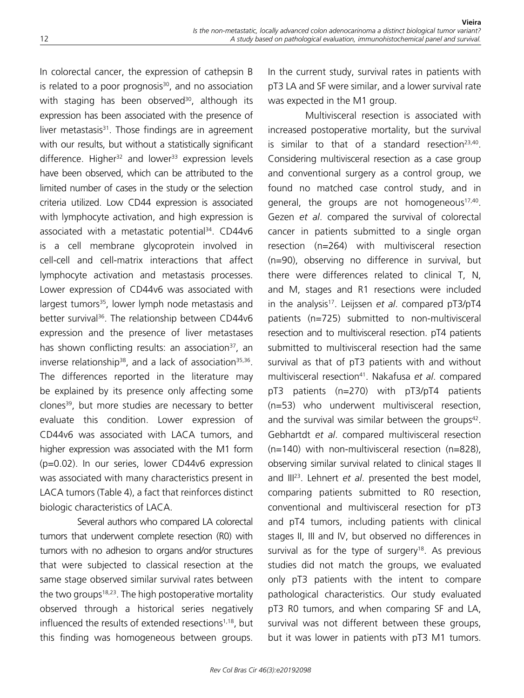In colorectal cancer, the expression of cathepsin B is related to a poor prognosis $30$ , and no association with staging has been observed<sup>30</sup>, although its expression has been associated with the presence of liver metastasis $31$ . Those findings are in agreement with our results, but without a statistically significant difference. Higher<sup>32</sup> and lower<sup>33</sup> expression levels have been observed, which can be attributed to the limited number of cases in the study or the selection criteria utilized. Low CD44 expression is associated with lymphocyte activation, and high expression is associated with a metastatic potential<sup>34</sup>. CD44v6 is a cell membrane glycoprotein involved in cell-cell and cell-matrix interactions that affect lymphocyte activation and metastasis processes. Lower expression of CD44v6 was associated with largest tumors<sup>35</sup>, lower lymph node metastasis and better survival<sup>36</sup>. The relationship between CD44v6 expression and the presence of liver metastases has shown conflicting results: an association<sup>37</sup>, an inverse relationship<sup>38</sup>, and a lack of association<sup>35,36</sup>. The differences reported in the literature may be explained by its presence only affecting some clones<sup>39</sup>, but more studies are necessary to better evaluate this condition. Lower expression of CD44v6 was associated with LACA tumors, and higher expression was associated with the M1 form (p=0.02). In our series, lower CD44v6 expression was associated with many characteristics present in LACA tumors (Table 4), a fact that reinforces distinct biologic characteristics of LACA.

Several authors who compared LA colorectal tumors that underwent complete resection (R0) with tumors with no adhesion to organs and/or structures that were subjected to classical resection at the same stage observed similar survival rates between the two groups<sup>18,23</sup>. The high postoperative mortality observed through a historical series negatively influenced the results of extended resections<sup>1,18</sup>, but this finding was homogeneous between groups.

In the current study, survival rates in patients with pT3 LA and SF were similar, and a lower survival rate was expected in the M1 group.

Multivisceral resection is associated with increased postoperative mortality, but the survival is similar to that of a standard resection<sup>23,40</sup>. Considering multivisceral resection as a case group and conventional surgery as a control group, we found no matched case control study, and in general, the groups are not homogeneous<sup>17,40</sup>. Gezen *et al*. compared the survival of colorectal cancer in patients submitted to a single organ resection (n=264) with multivisceral resection (n=90), observing no difference in survival, but there were differences related to clinical T, N, and M, stages and R1 resections were included in the analysis17. Leijssen *et al*. compared pT3/pT4 patients (n=725) submitted to non-multivisceral resection and to multivisceral resection. pT4 patients submitted to multivisceral resection had the same survival as that of pT3 patients with and without multivisceral resection41. Nakafusa *et al*. compared pT3 patients (n=270) with pT3/pT4 patients (n=53) who underwent multivisceral resection, and the survival was similar between the groups<sup>42</sup>. Gebhartdt *et al*. compared multivisceral resection (n=140) with non-multivisceral resection (n=828), observing similar survival related to clinical stages II and III23. Lehnert *et al*. presented the best model, comparing patients submitted to R0 resection, conventional and multivisceral resection for pT3 and pT4 tumors, including patients with clinical stages II, III and IV, but observed no differences in survival as for the type of surgery<sup>18</sup>. As previous studies did not match the groups, we evaluated only pT3 patients with the intent to compare pathological characteristics. Our study evaluated pT3 R0 tumors, and when comparing SF and LA, survival was not different between these groups, but it was lower in patients with pT3 M1 tumors.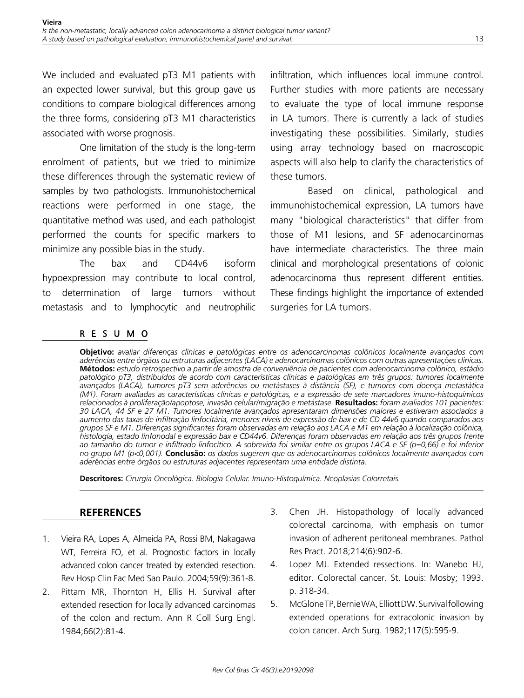We included and evaluated pT3 M1 patients with an expected lower survival, but this group gave us conditions to compare biological differences among the three forms, considering pT3 M1 characteristics associated with worse prognosis.

One limitation of the study is the long-term enrolment of patients, but we tried to minimize these differences through the systematic review of samples by two pathologists. Immunohistochemical reactions were performed in one stage, the quantitative method was used, and each pathologist performed the counts for specific markers to minimize any possible bias in the study.

The bax and CD44v6 isoform hypoexpression may contribute to local control, to determination of large tumors without metastasis and to lymphocytic and neutrophilic infiltration, which influences local immune control. Further studies with more patients are necessary to evaluate the type of local immune response in LA tumors. There is currently a lack of studies investigating these possibilities. Similarly, studies using array technology based on macroscopic aspects will also help to clarify the characteristics of these tumors.

Based on clinical, pathological and immunohistochemical expression, LA tumors have many "biological characteristics" that differ from those of M1 lesions, and SF adenocarcinomas have intermediate characteristics. The three main clinical and morphological presentations of colonic adenocarcinoma thus represent different entities. These findings highlight the importance of extended surgeries for LA tumors.

# RESUMO

**Objetivo:** *avaliar diferenças clínicas e patológicas entre os adenocarcinomas colônicos localmente avançados com aderências entre órgãos ou estruturas adjacentes (LACA) e adenocarcinomas colônicos com outras apresentações clínicas.*  **Métodos:** *estudo retrospectivo a partir de amostra de conveniência de pacientes com adenocarcinoma colônico, estádio patológico pT3, distribuídos de acordo com características clínicas e patológicas em três grupos: tumores localmente avançados (LACA), tumores pT3 sem aderências ou metástases à distância (SF), e tumores com doença metastática (M1). Foram avaliadas as características clínicas e patológicas, e a expressão de sete marcadores imuno-histoquímicos relacionados à proliferação/apoptose, invasão celular/migração e metástase.* **Resultados:** *foram avaliados 101 pacientes: 30 LACA, 44 SF e 27 M1. Tumores localmente avançados apresentaram dimensões maiores e estiveram associados a aumento das taxas de infiltração linfocitária, menores níveis de expressão de bax e de CD 44v6 quando comparados aos grupos SF e M1. Diferenças significantes foram observadas em relação aos LACA e M1 em relação à localização colônica, histologia, estado linfonodal e expressão bax e CD44v6. Diferenças foram observadas em relação aos três grupos frente ao tamanho do tumor e infiltrado linfocítico. A sobrevida foi similar entre os grupos LACA e SF (p=0,66) e foi inferior no grupo M1 (p<0,001).* **Conclusão:** *os dados sugerem que os adenocarcinomas colônicos localmente avançados com aderências entre órgãos ou estruturas adjacentes representam uma entidade distinta.*

**Descritores:** *Cirurgia Oncológica. Biologia Celular. Imuno-Histoquímica. Neoplasias Colorretais.*

## **REFERENCES**

- 1. Vieira RA, Lopes A, Almeida PA, Rossi BM, Nakagawa WT, Ferreira FO, et al. Prognostic factors in locally advanced colon cancer treated by extended resection. Rev Hosp Clin Fac Med Sao Paulo. 2004;59(9):361-8.
- 2. Pittam MR, Thornton H, Ellis H. Survival after extended resection for locally advanced carcinomas of the colon and rectum. Ann R Coll Surg Engl. 1984;66(2):81-4.
- 3. Chen JH. Histopathology of locally advanced colorectal carcinoma, with emphasis on tumor invasion of adherent peritoneal membranes. Pathol Res Pract. 2018;214(6):902-6.
- 4. Lopez MJ. Extended ressections. In: Wanebo HJ, editor. Colorectal cancer. St. Louis: Mosby; 1993. p. 318-34.
- 5. McGlone TP, Bernie WA, Elliott DW. Survival following extended operations for extracolonic invasion by colon cancer. Arch Surg. 1982;117(5):595-9.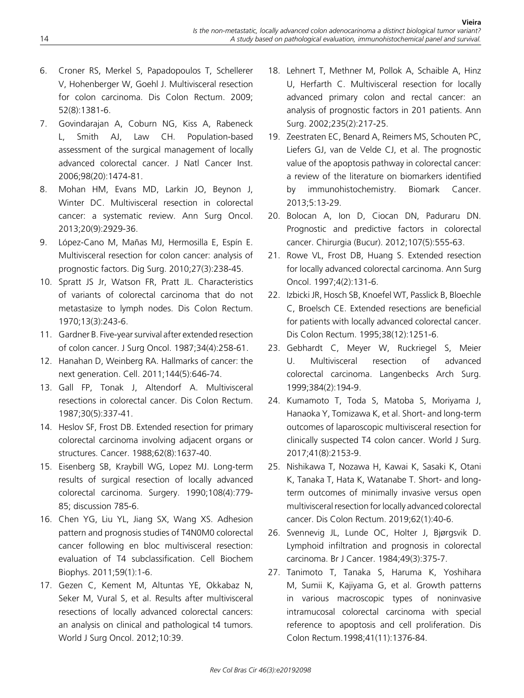- 6. Croner RS, Merkel S, Papadopoulos T, Schellerer V, Hohenberger W, Goehl J. Multivisceral resection for colon carcinoma. Dis Colon Rectum. 2009; 52(8):1381-6.
- 7. Govindarajan A, Coburn NG, Kiss A, Rabeneck L, Smith AJ, Law CH. Population-based assessment of the surgical management of locally advanced colorectal cancer. J Natl Cancer Inst. 2006;98(20):1474-81.
- 8. Mohan HM, Evans MD, Larkin JO, Beynon J, Winter DC. Multivisceral resection in colorectal cancer: a systematic review. Ann Surg Oncol. 2013;20(9):2929-36.
- 9. López-Cano M, Mañas MJ, Hermosilla E, Espín E. Multivisceral resection for colon cancer: analysis of prognostic factors. Dig Surg. 2010;27(3):238-45.
- 10. Spratt JS Jr, Watson FR, Pratt JL. Characteristics of variants of colorectal carcinoma that do not metastasize to lymph nodes. Dis Colon Rectum. 1970;13(3):243-6.
- 11. Gardner B. Five-year survival after extended resection of colon cancer. J Surg Oncol. 1987;34(4):258-61.
- 12. Hanahan D, Weinberg RA. Hallmarks of cancer: the next generation. Cell. 2011;144(5):646-74.
- 13. Gall FP, Tonak J, Altendorf A. Multivisceral resections in colorectal cancer. Dis Colon Rectum. 1987;30(5):337-41.
- 14. Heslov SF, Frost DB. Extended resection for primary colorectal carcinoma involving adjacent organs or structures. Cancer. 1988;62(8):1637-40.
- 15. Eisenberg SB, Kraybill WG, Lopez MJ. Long-term results of surgical resection of locally advanced colorectal carcinoma. Surgery. 1990;108(4):779- 85; discussion 785-6.
- 16. Chen YG, Liu YL, Jiang SX, Wang XS. Adhesion pattern and prognosis studies of T4N0M0 colorectal cancer following en bloc multivisceral resection: evaluation of T4 subclassification. Cell Biochem Biophys. 2011;59(1):1-6.
- 17. Gezen C, Kement M, Altuntas YE, Okkabaz N, Seker M, Vural S, et al. Results after multivisceral resections of locally advanced colorectal cancers: an analysis on clinical and pathological t4 tumors. World J Surg Oncol. 2012;10:39.
- 18. Lehnert T, Methner M, Pollok A, Schaible A, Hinz U, Herfarth C. Multivisceral resection for locally advanced primary colon and rectal cancer: an analysis of prognostic factors in 201 patients. Ann Surg. 2002;235(2):217-25.
- 19. Zeestraten EC, Benard A, Reimers MS, Schouten PC, Liefers GJ, van de Velde CJ, et al. The prognostic value of the apoptosis pathway in colorectal cancer: a review of the literature on biomarkers identified by immunohistochemistry. Biomark Cancer. 2013;5:13-29.
- 20. Bolocan A, Ion D, Ciocan DN, Paduraru DN. Prognostic and predictive factors in colorectal cancer. Chirurgia (Bucur). 2012;107(5):555-63.
- 21. Rowe VL, Frost DB, Huang S. Extended resection for locally advanced colorectal carcinoma. Ann Surg Oncol. 1997;4(2):131-6.
- 22. Izbicki JR, Hosch SB, Knoefel WT, Passlick B, Bloechle C, Broelsch CE. Extended resections are beneficial for patients with locally advanced colorectal cancer. Dis Colon Rectum. 1995;38(12):1251-6.
- 23. Gebhardt C, Meyer W, Ruckriegel S, Meier U. Multivisceral resection of advanced colorectal carcinoma. Langenbecks Arch Surg. 1999;384(2):194-9.
- 24. Kumamoto T, Toda S, Matoba S, Moriyama J, Hanaoka Y, Tomizawa K, et al. Short- and long-term outcomes of laparoscopic multivisceral resection for clinically suspected T4 colon cancer. World J Surg. 2017;41(8):2153-9.
- 25. Nishikawa T, Nozawa H, Kawai K, Sasaki K, Otani K, Tanaka T, Hata K, Watanabe T. Short- and longterm outcomes of minimally invasive versus open multivisceral resection for locally advanced colorectal cancer. Dis Colon Rectum. 2019;62(1):40-6.
- 26. Svennevig JL, Lunde OC, Holter J, Bjørgsvik D. Lymphoid infiltration and prognosis in colorectal carcinoma. Br J Cancer. 1984;49(3):375-7.
- 27. Tanimoto T, Tanaka S, Haruma K, Yoshihara M, Sumii K, Kajiyama G, et al. Growth patterns in various macroscopic types of noninvasive intramucosal colorectal carcinoma with special reference to apoptosis and cell proliferation. Dis Colon Rectum.1998;41(11):1376-84.